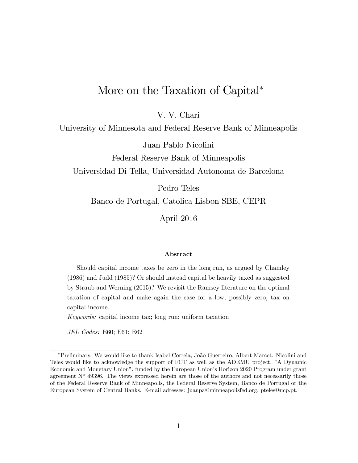# More on the Taxation of Capital<sup>\*</sup>

V. V. Chari

University of Minnesota and Federal Reserve Bank of Minneapolis

Juan Pablo Nicolini

Federal Reserve Bank of Minneapolis

Universidad Di Tella, Universidad Autonoma de Barcelona

Pedro Teles

Banco de Portugal, Catolica Lisbon SBE, CEPR

April 2016

#### Abstract

Should capital income taxes be zero in the long run, as argued by Chamley (1986) and Judd (1985)? Or should instead capital be heavily taxed as suggested by Straub and Werning (2015)? We revisit the Ramsey literature on the optimal taxation of capital and make again the case for a low, possibly zero, tax on capital income.

Keywords: capital income tax; long run; uniform taxation

JEL Codes: E60; E61; E62

<sup>\*</sup>Preliminary. We would like to thank Isabel Correia, João Guerreiro, Albert Marcet. Nicolini and Teles would like to acknowledge the support of FCT as well as the ADEMU project, "A Dynamic Economic and Monetary Unionî, funded by the European Unionís Horizon 2020 Program under grant agreement  $N^{\circ}$  49396. The views expressed herein are those of the authors and not necessarily those of the Federal Reserve Bank of Minneapolis, the Federal Reserve System, Banco de Portugal or the European System of Central Banks. E-mail adresses: juanpa@minneapolisfed.org, pteles@ucp.pt.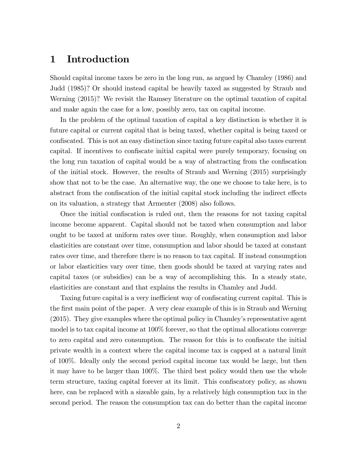### 1 Introduction

Should capital income taxes be zero in the long run, as argued by Chamley (1986) and Judd (1985)? Or should instead capital be heavily taxed as suggested by Straub and Werning (2015)? We revisit the Ramsey literature on the optimal taxation of capital and make again the case for a low, possibly zero, tax on capital income.

In the problem of the optimal taxation of capital a key distinction is whether it is future capital or current capital that is being taxed, whether capital is being taxed or confiscated. This is not an easy distinction since taxing future capital also taxes current capital. If incentives to confiscate initial capital were purely temporary, focusing on the long run taxation of capital would be a way of abstracting from the confiscation of the initial stock. However, the results of Straub and Werning (2015) surprisingly show that not to be the case. An alternative way, the one we choose to take here, is to abstract from the confiscation of the initial capital stock including the indirect effects on its valuation, a strategy that Armenter (2008) also follows.

Once the initial confiscation is ruled out, then the reasons for not taxing capital income become apparent. Capital should not be taxed when consumption and labor ought to be taxed at uniform rates over time. Roughly, when consumption and labor elasticities are constant over time, consumption and labor should be taxed at constant rates over time, and therefore there is no reason to tax capital. If instead consumption or labor elasticities vary over time, then goods should be taxed at varying rates and capital taxes (or subsidies) can be a way of accomplishing this. In a steady state, elasticities are constant and that explains the results in Chamley and Judd.

Taxing future capital is a very inefficient way of confiscating current capital. This is the first main point of the paper. A very clear example of this is in Straub and Werning (2015). They give examples where the optimal policy in Chamley's representative agent model is to tax capital income at 100% forever, so that the optimal allocations converge to zero capital and zero consumption. The reason for this is to confiscate the initial private wealth in a context where the capital income tax is capped at a natural limit of 100%. Ideally only the second period capital income tax would be large, but then it may have to be larger than 100%. The third best policy would then use the whole term structure, taxing capital forever at its limit. This confiscatory policy, as shown here, can be replaced with a sizeable gain, by a relatively high consumption tax in the second period. The reason the consumption tax can do better than the capital income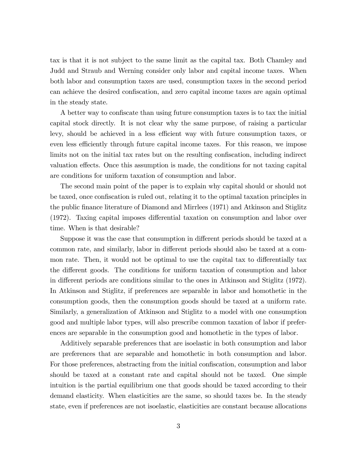tax is that it is not subject to the same limit as the capital tax. Both Chamley and Judd and Straub and Werning consider only labor and capital income taxes. When both labor and consumption taxes are used, consumption taxes in the second period can achieve the desired confiscation, and zero capital income taxes are again optimal in the steady state.

A better way to confiscate than using future consumption taxes is to tax the initial capital stock directly. It is not clear why the same purpose, of raising a particular levy, should be achieved in a less efficient way with future consumption taxes, or even less efficiently through future capital income taxes. For this reason, we impose limits not on the initial tax rates but on the resulting confiscation, including indirect valuation effects. Once this assumption is made, the conditions for not taxing capital are conditions for uniform taxation of consumption and labor.

The second main point of the paper is to explain why capital should or should not be taxed, once confiscation is ruled out, relating it to the optimal taxation principles in the public Önance literature of Diamond and Mirrlees (1971) and Atkinson and Stiglitz  $(1972)$ . Taxing capital imposes differential taxation on consumption and labor over time. When is that desirable?

Suppose it was the case that consumption in different periods should be taxed at a common rate, and similarly, labor in different periods should also be taxed at a common rate. Then, it would not be optimal to use the capital tax to differentially tax the different goods. The conditions for uniform taxation of consumption and labor in different periods are conditions similar to the ones in Atkinson and Stiglitz (1972). In Atkinson and Stiglitz, if preferences are separable in labor and homothetic in the consumption goods, then the consumption goods should be taxed at a uniform rate. Similarly, a generalization of Atkinson and Stiglitz to a model with one consumption good and multiple labor types, will also prescribe common taxation of labor if preferences are separable in the consumption good and homothetic in the types of labor.

Additively separable preferences that are isoelastic in both consumption and labor are preferences that are separable and homothetic in both consumption and labor. For those preferences, abstracting from the initial confiscation, consumption and labor should be taxed at a constant rate and capital should not be taxed. One simple intuition is the partial equilibrium one that goods should be taxed according to their demand elasticity. When elasticities are the same, so should taxes be. In the steady state, even if preferences are not isoelastic, elasticities are constant because allocations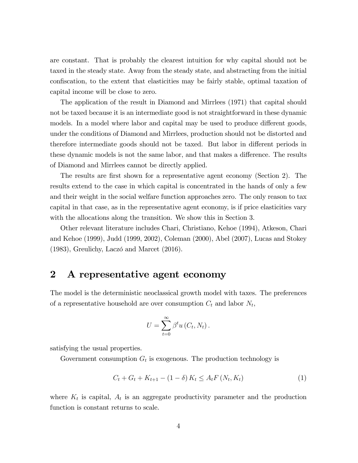are constant. That is probably the clearest intuition for why capital should not be taxed in the steady state. Away from the steady state, and abstracting from the initial confiscation, to the extent that elasticities may be fairly stable, optimal taxation of capital income will be close to zero.

The application of the result in Diamond and Mirrlees (1971) that capital should not be taxed because it is an intermediate good is not straightforward in these dynamic models. In a model where labor and capital may be used to produce different goods, under the conditions of Diamond and Mirrlees, production should not be distorted and therefore intermediate goods should not be taxed. But labor in different periods in these dynamic models is not the same labor, and that makes a difference. The results of Diamond and Mirrlees cannot be directly applied.

The results are first shown for a representative agent economy (Section 2). The results extend to the case in which capital is concentrated in the hands of only a few and their weight in the social welfare function approaches zero. The only reason to tax capital in that case, as in the representative agent economy, is if price elasticities vary with the allocations along the transition. We show this in Section 3.

Other relevant literature includes Chari, Christiano, Kehoe (1994), Atkeson, Chari and Kehoe (1999), Judd (1999, 2002), Coleman (2000), Abel (2007), Lucas and Stokey  $(1983)$ , Greulichy, Laczó and Marcet  $(2016)$ .

### 2 A representative agent economy

The model is the deterministic neoclassical growth model with taxes. The preferences of a representative household are over consumption  $C_t$  and labor  $N_t$ ,

$$
U=\sum_{t=0}^{\infty}\beta^t u(C_t,N_t).
$$

satisfying the usual properties.

Government consumption  $G_t$  is exogenous. The production technology is

<span id="page-3-0"></span>
$$
C_{t} + G_{t} + K_{t+1} - (1 - \delta) K_{t} \le A_{t} F\left(N_{t}, K_{t}\right)
$$
\n(1)

where  $K_t$  is capital,  $A_t$  is an aggregate productivity parameter and the production function is constant returns to scale.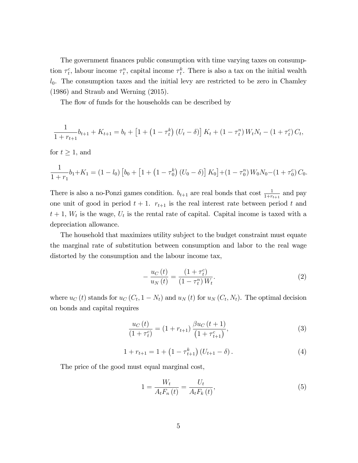The government finances public consumption with time varying taxes on consumption  $\tau_t^c$ , labour income  $\tau_t^n$ , capital income  $\tau_t^k$ . There is also a tax on the initial wealth  $l_0$ . The consumption taxes and the initial levy are restricted to be zero in Chamley (1986) and Straub and Werning (2015).

The flow of funds for the households can be described by

$$
\frac{1}{1+r_{t+1}}b_{t+1} + K_{t+1} = b_t + \left[1 + \left(1 - \tau_t^k\right)\left(U_t - \delta\right)\right]K_t + \left(1 - \tau_t^n\right)W_tN_t - \left(1 + \tau_t^c\right)C_t,
$$

for  $t \geq 1$ , and

$$
\frac{1}{1+r_1}b_1+K_1=(1-l_0)\left[b_0+\left[1+\left(1-\tau_0^k\right)\left(U_0-\delta\right)\right]K_0\right]+ \left(1-\tau_0^n\right)W_0N_0-\left(1+\tau_0^c\right)C_0.
$$

There is also a no-Ponzi games condition.  $b_{t+1}$  are real bonds that cost  $\frac{1}{1+r_{t+1}}$  and pay one unit of good in period  $t + 1$ .  $r_{t+1}$  is the real interest rate between period t and  $t+1$ ,  $W_t$  is the wage,  $U_t$  is the rental rate of capital. Capital income is taxed with a depreciation allowance.

The household that maximizes utility subject to the budget constraint must equate the marginal rate of substitution between consumption and labor to the real wage distorted by the consumption and the labour income tax,

$$
-\frac{u_C(t)}{u_N(t)} = \frac{(1+\tau_t^c)}{(1-\tau_t^n)W_t}.
$$
\n(2)

where  $u_C(t)$  stands for  $u_C(C_t, 1 - N_t)$  and  $u_N(t)$  for  $u_N(C_t, N_t)$ . The optimal decision on bonds and capital requires

$$
\frac{u_C(t)}{(1+\tau_t^c)} = (1+r_{t+1})\frac{\beta u_C(t+1)}{(1+\tau_{t+1}^c)},\tag{3}
$$

$$
1 + r_{t+1} = 1 + \left(1 - \tau_{t+1}^k\right) \left(U_{t+1} - \delta\right). \tag{4}
$$

The price of the good must equal marginal cost,

$$
1 = \frac{W_t}{A_t F_n(t)} = \frac{U_t}{A_t F_k(t)},
$$
\n(5)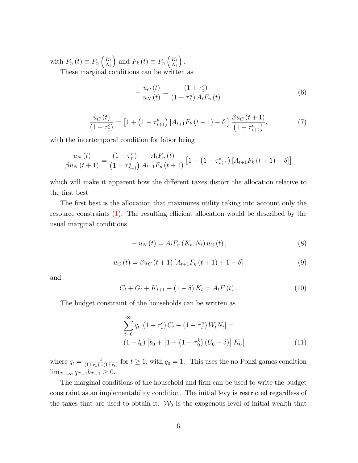with  $F_n(t) \equiv F_n\left(\frac{K_t}{N_t}\right)$  $N_t$ ) and  $F_k(t) \equiv F_n\left(\frac{K_t}{N_t}\right)$  $N_t$  $\big).$ These marginal conditions can be written as

> $\equiv$  $u_C\left(t\right)$  $u_{N}\left(t\right)$ =  $(1+\tau^c_t)$  $\left(1-\tau_{t}^{n}\right)A_{t}F_{n}\left(t\right)$ : (6)

<span id="page-5-0"></span>
$$
\frac{u_C(t)}{(1+\tau_t^c)} = \left[1 + \left(1 - \tau_{t+1}^k\right) \left[A_{t+1} F_k\left(t+1\right) - \delta\right]\right] \frac{\beta u_C\left(t+1\right)}{\left(1 + \tau_{t+1}^c\right)},\tag{7}
$$

with the intertemporal condition for labor being

$$
\frac{u_N(t)}{\beta u_N(t+1)} = \frac{(1-\tau_t^n)}{(1-\tau_{t+1}^n)} \frac{A_t F_n(t)}{A_{t+1} F_n(t+1)} \left[1 + \left(1 - \tau_{t+1}^k\right) \left[A_{t+1} F_k(t+1) - \delta\right]\right]
$$

which will make it apparent how the different taxes distort the allocation relative to the first best

The first best is the allocation that maximizes utility taking into account only the resource constraints [\(1\)](#page-3-0). The resulting efficient allocation would be described by the usual marginal conditions

$$
- u_N(t) = A_t F_n(K_t, N_t) u_C(t), \qquad (8)
$$

$$
u_C(t) = \beta u_C(t+1) \left[ A_{t+1} F_k(t+1) + 1 - \delta \right]
$$
 (9)

and

$$
C_{t} + G_{t} + K_{t+1} - (1 - \delta) K_{t} = A_{t} F(t).
$$
 (10)

The budget constraint of the households can be written as

$$
\sum_{t=0}^{\infty} q_t \left[ \left( 1 + \tau_t^c \right) C_t - \left( 1 - \tau_t^n \right) W_t N_t \right] =
$$
\n
$$
\left( 1 - l_0 \right) \left[ b_0 + \left[ 1 + \left( 1 - \tau_0^k \right) (U_0 - \delta) \right] K_0 \right] \tag{11}
$$

where  $q_t = \frac{1}{(1+r_1)_x}$  $\frac{1}{(1+r_1)...(1+r_t)}$  for  $t \geq 1$ , with  $q_0 = 1...$  This uses the no-Ponzi games condition  $\lim_{T \to \infty} q_{T+1}b_{T+1} \geq 0.$ 

The marginal conditions of the household and firm can be used to write the budget constraint as an implementability condition. The initial levy is restricted regardless of the taxes that are used to obtain it.  $\mathcal{W}_0$  is the exogenous level of initial wealth that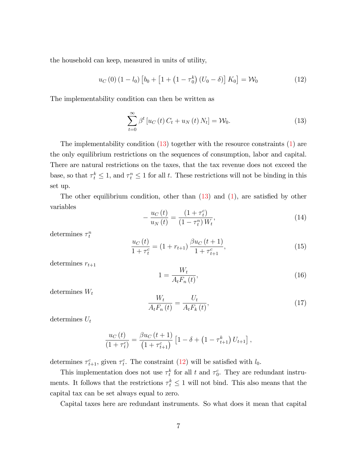the household can keep, measured in units of utility,

<span id="page-6-1"></span>
$$
u_C(0) (1 - l_0) [b_0 + [1 + (1 - \tau_0^k) (U_0 - \delta)] K_0] = \mathcal{W}_0
$$
 (12)

The implementability condition can then be written as

<span id="page-6-0"></span>
$$
\sum_{t=0}^{\infty} \beta^t \left[ u_C(t) C_t + u_N(t) N_t \right] = \mathcal{W}_0.
$$
\n(13)

The implementability condition  $(13)$  together with the resource constraints  $(1)$  are the only equilibrium restrictions on the sequences of consumption, labor and capital. There are natural restrictions on the taxes, that the tax revenue does not exceed the base, so that  $\tau_t^k \leq 1$ , and  $\tau_t^n \leq 1$  for all t. These restrictions will not be binding in this set up.

The other equilibrium condition, other than  $(13)$  and  $(1)$ , are satisfied by other variables

$$
-\frac{u_C(t)}{u_N(t)} = \frac{(1+\tau_t^c)}{(1-\tau_t^n)W_t},
$$
\n(14)

determines  $\tau_t^n$ 

$$
\frac{u_C(t)}{1+\tau_t^c} = (1+r_{t+1})\frac{\beta u_C(t+1)}{1+\tau_{t+1}^c},\tag{15}
$$

determines  $r_{t+1}$ 

$$
1 = \frac{W_t}{A_t F_n(t)},\tag{16}
$$

determines  $W_t$ 

$$
\frac{W_t}{A_t F_n(t)} = \frac{U_t}{A_t F_k(t)},\tag{17}
$$

determines  $U_t$ 

$$
\frac{u_C(t)}{(1+\tau_t^c)} = \frac{\beta u_C(t+1)}{(1+\tau_{t+1}^c)} \left[1-\delta + \left(1-\tau_{t+1}^k\right) U_{t+1}\right],
$$

determines  $\tau_{t+1}^c$ , given  $\tau_t^c$ . The constraint [\(12\)](#page-6-1) will be satisfied with  $l_0$ .

This implementation does not use  $\tau_t^k$  for all t and  $\tau_0^c$ . They are redundant instruments. It follows that the restrictions  $\tau_t^k \leq 1$  will not bind. This also means that the capital tax can be set always equal to zero.

Capital taxes here are redundant instruments. So what does it mean that capital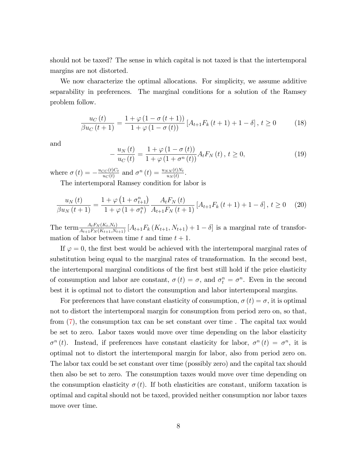should not be taxed? The sense in which capital is not taxed is that the intertemporal margins are not distorted.

We now characterize the optimal allocations. For simplicity, we assume additive separability in preferences. The marginal conditions for a solution of the Ramsey problem follow.

$$
\frac{u_C(t)}{\beta u_C(t+1)} = \frac{1 + \varphi(1 - \sigma(t+1))}{1 + \varphi(1 - \sigma(t))} [A_{t+1} F_k(t+1) + 1 - \delta], t \ge 0
$$
 (18)

and

$$
-\frac{u_N(t)}{u_C(t)} = \frac{1+\varphi(1-\sigma(t))}{1+\varphi(1+\sigma^n(t))} A_t F_N(t), t \ge 0,
$$
\n(19)

where  $\sigma(t) = -\frac{u_{CC}(t)C_t}{u_C(t)}$  $\frac{C C(t) C_t}{u_C(t)}$  and  $\sigma^n(t) = \frac{u_{NN}(t) N_t}{u_N(t)}$ .

The intertemporal Ramsey condition for labor is

$$
\frac{u_N(t)}{\beta u_N(t+1)} = \frac{1+\varphi\left(1+\sigma_{t+1}^n\right)}{1+\varphi\left(1+\sigma_t^n\right)} \frac{A_t F_N(t)}{A_{t+1} F_N(t+1)} \left[A_{t+1} F_k(t+1) + 1 - \delta\right], \ t \ge 0 \tag{20}
$$

The term  $\frac{A_t F_N(K_t,N_t)}{A_{t+1} F_N(K_{t+1},N_{t+1})}$   $[A_{t+1} F_k(K_{t+1},N_{t+1}) + 1 - \delta]$  is a marginal rate of transformation of labor between time t and time  $t + 1$ .

If  $\varphi = 0$ , the first best would be achieved with the intertemporal marginal rates of substitution being equal to the marginal rates of transformation. In the second best, the intertemporal marginal conditions of the first best still hold if the price elasticity of consumption and labor are constant,  $\sigma(t) = \sigma$ , and  $\sigma_t^n = \sigma^n$ . Even in the second best it is optimal not to distort the consumption and labor intertemporal margins.

For preferences that have constant elasticity of consumption,  $\sigma(t) = \sigma$ , it is optimal not to distort the intertemporal margin for consumption from period zero on, so that, from [\(7\)](#page-5-0), the consumption tax can be set constant over time . The capital tax would be set to zero. Labor taxes would move over time depending on the labor elasticity  $\sigma^{n}(t)$ . Instead, if preferences have constant elasticity for labor,  $\sigma^{n}(t) = \sigma^{n}$ , it is optimal not to distort the intertemporal margin for labor, also from period zero on. The labor tax could be set constant over time (possibly zero) and the capital tax should then also be set to zero. The consumption taxes would move over time depending on the consumption elasticity  $\sigma(t)$ . If both elasticities are constant, uniform taxation is optimal and capital should not be taxed, provided neither consumption nor labor taxes move over time.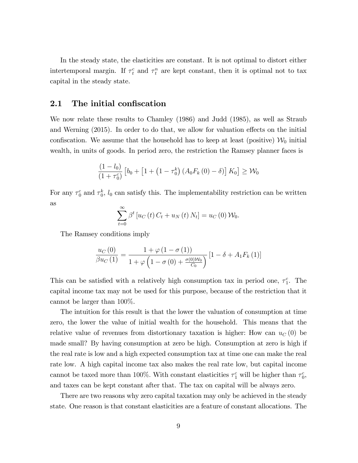In the steady state, the elasticities are constant. It is not optimal to distort either intertemporal margin. If  $\tau_t^c$  and  $\tau_t^n$  are kept constant, then it is optimal not to tax capital in the steady state.

### 2.1 The initial confiscation

We now relate these results to Chamley (1986) and Judd (1985), as well as Straub and Werning  $(2015)$ . In order to do that, we allow for valuation effects on the initial confiscation. We assume that the household has to keep at least (positive)  $\mathcal{W}_0$  initial wealth, in units of goods. In period zero, the restriction the Ramsey planner faces is

$$
\frac{(1-l_0)}{(1+\tau_0^c)}\left[b_0+\left[1+\left(1-\tau_0^k\right)\left(A_0F_k\left(0\right)-\delta\right)\right]K_0\right]\geq \mathcal{W}_0
$$

For any  $\tau_0^c$  and  $\tau_0^k$ ,  $l_0$  can satisfy this. The implementability restriction can be written as

$$
\sum_{t=0}^{\infty} \beta^t \left[ u_C\left(t\right) C_t + u_N\left(t\right) N_t \right] = u_C\left(0\right) \mathcal{W}_0.
$$

The Ramsey conditions imply

$$
\frac{u_C(0)}{\beta u_C(1)} = \frac{1 + \varphi(1 - \sigma(1))}{1 + \varphi(1 - \sigma(0) + \frac{\sigma(0)W_0}{C_0})} [1 - \delta + A_1 F_k(1)]
$$

This can be satisfied with a relatively high consumption tax in period one,  $\tau_1^c$ . The capital income tax may not be used for this purpose, because of the restriction that it cannot be larger than 100%.

The intuition for this result is that the lower the valuation of consumption at time zero, the lower the value of initial wealth for the household. This means that the relative value of revenues from distortionary taxation is higher: How can  $u<sub>C</sub>(0)$  be made small? By having consumption at zero be high. Consumption at zero is high if the real rate is low and a high expected consumption tax at time one can make the real rate low. A high capital income tax also makes the real rate low, but capital income cannot be taxed more than 100%. With constant elasticities  $\tau_1^c$  will be higher than  $\tau_0^c$ , and taxes can be kept constant after that. The tax on capital will be always zero.

There are two reasons why zero capital taxation may only be achieved in the steady state. One reason is that constant elasticities are a feature of constant allocations. The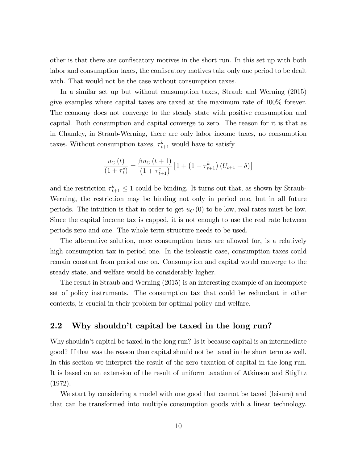other is that there are confiscatory motives in the short run. In this set up with both labor and consumption taxes, the confiscatory motives take only one period to be dealt with. That would not be the case without consumption taxes.

In a similar set up but without consumption taxes, Straub and Werning (2015) give examples where capital taxes are taxed at the maximum rate of 100% forever. The economy does not converge to the steady state with positive consumption and capital. Both consumption and capital converge to zero. The reason for it is that as in Chamley, in Straub-Werning, there are only labor income taxes, no consumption taxes. Without consumption taxes,  $\tau_{t+1}^k$  would have to satisfy

$$
\frac{u_C(t)}{(1+\tau_t^c)} = \frac{\beta u_C(t+1)}{(1+\tau_{t+1}^c)} \left[1 + \left(1 - \tau_{t+1}^k\right) \left(U_{t+1} - \delta\right)\right]
$$

and the restriction  $\tau_{t+1}^k \leq 1$  could be binding. It turns out that, as shown by Straub-Werning, the restriction may be binding not only in period one, but in all future periods. The intuition is that in order to get  $u<sub>C</sub>(0)$  to be low, real rates must be low. Since the capital income tax is capped, it is not enough to use the real rate between periods zero and one. The whole term structure needs to be used.

The alternative solution, once consumption taxes are allowed for, is a relatively high consumption tax in period one. In the isoleastic case, consumption taxes could remain constant from period one on. Consumption and capital would converge to the steady state, and welfare would be considerably higher.

The result in Straub and Werning (2015) is an interesting example of an incomplete set of policy instruments. The consumption tax that could be redundant in other contexts, is crucial in their problem for optimal policy and welfare.

### 2.2 Why shouldn't capital be taxed in the long run?

Why shouldn't capital be taxed in the long run? Is it because capital is an intermediate good? If that was the reason then capital should not be taxed in the short term as well. In this section we interpret the result of the zero taxation of capital in the long run. It is based on an extension of the result of uniform taxation of Atkinson and Stiglitz (1972).

We start by considering a model with one good that cannot be taxed (leisure) and that can be transformed into multiple consumption goods with a linear technology.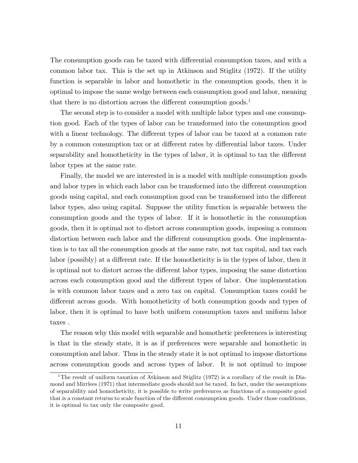The consumption goods can be taxed with differential consumption taxes, and with a common labor tax. This is the set up in Atkinson and Stiglitz (1972). If the utility function is separable in labor and homothetic in the consumption goods, then it is optimal to impose the same wedge between each consumption good and labor, meaning that there is no distortion across the different consumption goods.<sup>1</sup>

The second step is to consider a model with multiple labor types and one consumption good. Each of the types of labor can be transformed into the consumption good with a linear technology. The different types of labor can be taxed at a common rate by a common consumption tax or at different rates by differential labor taxes. Under separability and homotheticity in the types of labor, it is optimal to tax the different labor types at the same rate.

Finally, the model we are interested in is a model with multiple consumption goods and labor types in which each labor can be transformed into the different consumption goods using capital, and each consumption good can be transformed into the different labor types, also using capital. Suppose the utility function is separable between the consumption goods and the types of labor. If it is homothetic in the consumption goods, then it is optimal not to distort across consumption goods, imposing a common distortion between each labor and the different consumption goods. One implementation is to tax all the consumption goods at the same rate, not tax capital, and tax each labor (possibly) at a different rate. If the homotheticity is in the types of labor, then it is optimal not to distort across the different labor types, imposing the same distortion across each consumption good and the different types of labor. One implementation is with common labor taxes and a zero tax on capital. Consumption taxes could be different across goods. With homotheticity of both consumption goods and types of labor, then it is optimal to have both uniform consumption taxes and uniform labor taxes .

The reason why this model with separable and homothetic preferences is interesting is that in the steady state, it is as if preferences were separable and homothetic in consumption and labor. Thus in the steady state it is not optimal to impose distortions across consumption goods and across types of labor. It is not optimal to impose

<sup>&</sup>lt;sup>1</sup>The result of uniform taxation of Atkinson and Stiglitz (1972) is a corollary of the result in Diamond and Mirrlees (1971) that intermediate goods should not be taxed. In fact, under the assumptions of separability and homotheticity, it is possible to write preferences as functions of a composite good that is a constant returns to scale function of the different consumption goods. Under those conditions, it is optimal to tax only the composite good.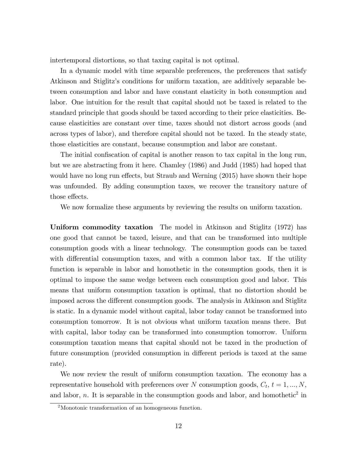intertemporal distortions, so that taxing capital is not optimal.

In a dynamic model with time separable preferences, the preferences that satisfy Atkinson and Stiglitzís conditions for uniform taxation, are additively separable between consumption and labor and have constant elasticity in both consumption and labor. One intuition for the result that capital should not be taxed is related to the standard principle that goods should be taxed according to their price elasticities. Because elasticities are constant over time, taxes should not distort across goods (and across types of labor), and therefore capital should not be taxed. In the steady state, those elasticities are constant, because consumption and labor are constant.

The initial confiscation of capital is another reason to tax capital in the long run, but we are abstracting from it here. Chamley (1986) and Judd (1985) had hoped that would have no long run effects, but Straub and Werning (2015) have shown their hope was unfounded. By adding consumption taxes, we recover the transitory nature of those effects.

We now formalize these arguments by reviewing the results on uniform taxation.

Uniform commodity taxation The model in Atkinson and Stiglitz (1972) has one good that cannot be taxed, leisure, and that can be transformed into multiple consumption goods with a linear technology. The consumption goods can be taxed with differential consumption taxes, and with a common labor tax. If the utility function is separable in labor and homothetic in the consumption goods, then it is optimal to impose the same wedge between each consumption good and labor. This means that uniform consumption taxation is optimal, that no distortion should be imposed across the different consumption goods. The analysis in Atkinson and Stiglitz is static. In a dynamic model without capital, labor today cannot be transformed into consumption tomorrow. It is not obvious what uniform taxation means there. But with capital, labor today can be transformed into consumption tomorrow. Uniform consumption taxation means that capital should not be taxed in the production of future consumption (provided consumption in different periods is taxed at the same rate).

We now review the result of uniform consumption taxation. The economy has a representative household with preferences over N consumption goods,  $C_t$ ,  $t = 1, ..., N$ , and labor,  $n$ . It is separable in the consumption goods and labor, and homothetic<sup>2</sup> in

<sup>2</sup>Monotonic transformation of an homogeneous function.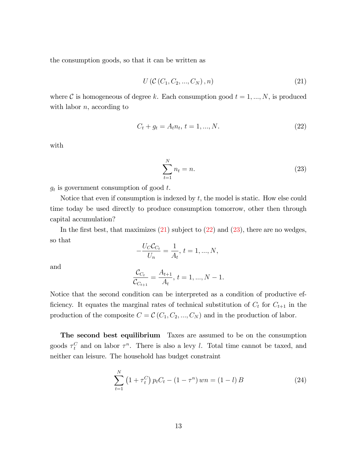the consumption goods, so that it can be written as

<span id="page-12-0"></span>
$$
U\left(\mathcal{C}\left(C_1, C_2, ..., C_N\right), n\right) \tag{21}
$$

where C is homogeneous of degree k. Each consumption good  $t = 1, ..., N$ , is produced with labor  $n$ , according to

<span id="page-12-1"></span>
$$
C_t + g_t = A_t n_t, \, t = 1, \dots, N. \tag{22}
$$

with

<span id="page-12-2"></span>
$$
\sum_{t=1}^{N} n_t = n. \tag{23}
$$

 $g_t$  is government consumption of good t.

Notice that even if consumption is indexed by  $t$ , the model is static. How else could time today be used directly to produce consumption tomorrow, other then through capital accumulation?

In the first best, that maximizes  $(21)$  subject to  $(22)$  and  $(23)$ , there are no wedges, so that

$$
-\frac{U_C C_{C_t}}{U_n} = \frac{1}{A_t}, t = 1, ..., N,
$$

and

$$
\frac{\mathcal{C}_{C_t}}{\mathcal{C}_{C_{t+1}}} = \frac{A_{t+1}}{A_t}, t = 1, ..., N - 1.
$$

Notice that the second condition can be interpreted as a condition of productive efficiency. It equates the marginal rates of technical substitution of  $C_t$  for  $C_{t+1}$  in the production of the composite  $C = \mathcal{C}(C_1, C_2, ..., C_N)$  and in the production of labor.

The second best equilibrium Taxes are assumed to be on the consumption goods  $\tau_t^C$  and on labor  $\tau^n$ . There is also a levy l. Total time cannot be taxed, and neither can leisure. The household has budget constraint

<span id="page-12-3"></span>
$$
\sum_{t=1}^{N} (1 + \tau_t^C) p_t C_t - (1 - \tau^n) w n = (1 - l) B \qquad (24)
$$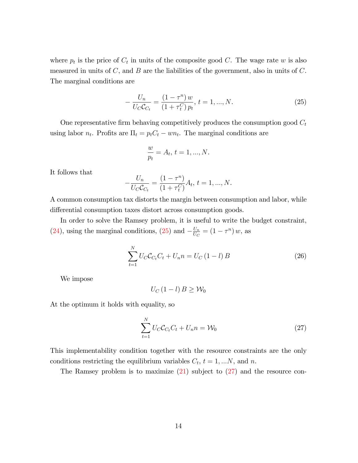where  $p_t$  is the price of  $C_t$  in units of the composite good C. The wage rate w is also measured in units of  $C$ , and  $B$  are the liabilities of the government, also in units of  $C$ . The marginal conditions are

<span id="page-13-0"></span>
$$
-\frac{U_n}{U_C C_{C_t}} = \frac{(1-\tau^n) w}{(1+\tau_t^C) p_t}, \, t = 1, ..., N. \tag{25}
$$

One representative firm behaving competitively produces the consumption good  $C_t$ using labor  $n_t$ . Profits are  $\Pi_t = p_t C_t - w n_t$ . The marginal conditions are

$$
\frac{w}{p_t} = A_t, \, t = 1, ..., N.
$$

It follows that

$$
-\frac{U_n}{U_C C_{C_t}} = \frac{(1 - \tau^n)}{(1 + \tau_t^C)} A_t, t = 1, ..., N.
$$

A common consumption tax distorts the margin between consumption and labor, while differential consumption taxes distort across consumption goods.

In order to solve the Ramsey problem, it is useful to write the budget constraint, [\(24\)](#page-12-3), using the marginal conditions, [\(25\)](#page-13-0) and  $-\frac{U_n}{U_C}$  $\frac{U_n}{U_C} = (1 - \tau^n) w$ , as

$$
\sum_{t=1}^{N} U_{C} C_{C_{t}} C_{t} + U_{n} n = U_{C} (1 - l) B
$$
\n(26)

We impose

$$
U_C\left(1-l\right)B\geq\mathcal{W}_0
$$

At the optimum it holds with equality, so

<span id="page-13-1"></span>
$$
\sum_{t=1}^{N} U_C C_{C_t} C_t + U_n n = \mathcal{W}_0
$$
\n(27)

This implementability condition together with the resource constraints are the only conditions restricting the equilibrium variables  $C_t$ ,  $t = 1, ...N$ , and n.

The Ramsey problem is to maximize  $(21)$  subject to  $(27)$  and the resource con-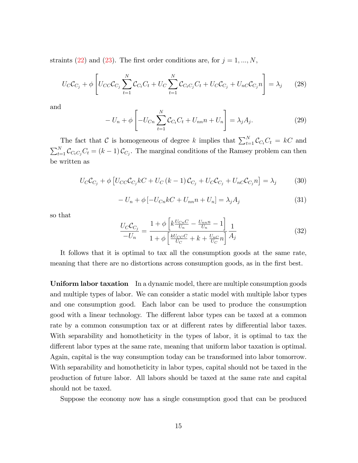straints [\(22\)](#page-12-1) and [\(23\)](#page-12-2). The first order conditions are, for  $j = 1, ..., N$ ,

$$
U_{C}C_{C_{j}} + \phi \left[ U_{CC}C_{C_{j}} \sum_{t=1}^{N} C_{C_{t}}C_{t} + U_{C} \sum_{t=1}^{N} C_{C_{t}C_{j}}C_{t} + U_{C}C_{C_{j}} + U_{nC}C_{C_{j}}n \right] = \lambda_{j}
$$
 (28)

and

$$
-U_n + \phi \left[ -U_{Cn} \sum_{t=1}^{N} C_{Ct} C_t + U_{nn} n + U_n \right] = \lambda_j A_j.
$$
 (29)

The fact that C is homogeneous of degree k implies that  $\sum_{t=1}^{N} C_{C_t} C_t = kC$  and  $\sum_{t=1}^{N} C_{C_{t}} C_{t} = (k-1) C_{C_{j}}$ . The marginal conditions of the Ramsey problem can then be written as

$$
U_C C_{C_j} + \phi \left[ U_{CC} C_{C_j} kC + U_C (k-1) C_{C_j} + U_C C_{C_j} + U_{nC} C_{C_j} n \right] = \lambda_j \tag{30}
$$

$$
-U_n + \phi [-U_{Cn}kC + U_{nn}n + U_n] = \lambda_j A_j \tag{31}
$$

so that

$$
\frac{U_{C}C_{C_{j}}}{-U_{n}} = \frac{1 + \phi \left[k\frac{U_{Cn}C}{U_{n}} - \frac{U_{nn}n}{U_{n}} - 1\right]}{1 + \phi \left[\frac{kU_{CC}C}{U_{C}} + k + \frac{U_{nC}}{U_{C}}n\right]} \frac{1}{A_{j}}
$$
(32)

It follows that it is optimal to tax all the consumption goods at the same rate, meaning that there are no distortions across consumption goods, as in the first best.

Uniform labor taxation In a dynamic model, there are multiple consumption goods and multiple types of labor. We can consider a static model with multiple labor types and one consumption good. Each labor can be used to produce the consumption good with a linear technology. The different labor types can be taxed at a common rate by a common consumption tax or at different rates by differential labor taxes. With separability and homotheticity in the types of labor, it is optimal to tax the different labor types at the same rate, meaning that uniform labor taxation is optimal. Again, capital is the way consumption today can be transformed into labor tomorrow. With separability and homotheticity in labor types, capital should not be taxed in the production of future labor. All labors should be taxed at the same rate and capital should not be taxed.

Suppose the economy now has a single consumption good that can be produced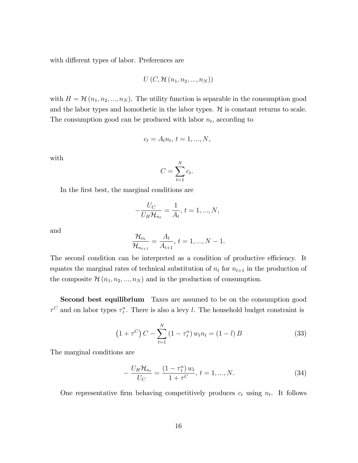with different types of labor. Preferences are

$$
U\left(C,\mathcal{H}\left(n_1,n_2,...,n_N\right)\right)
$$

with  $H = \mathcal{H}(n_1, n_2, ..., n_N)$ . The utility function is separable in the consumption good and the labor types and homothetic in the labor types.  $\mathcal H$  is constant returns to scale. The consumption good can be produced with labor  $n_t$ , according to

$$
c_t = A_t n_t, \, t = 1, ..., N,
$$

with

$$
C = \sum_{t=1}^{N} c_t.
$$

In the first best, the marginal conditions are

$$
-\frac{U_C}{U_H \mathcal{H}_{n_t}} = \frac{1}{A_t}, \, t = 1, ..., N,
$$

and

$$
\frac{\mathcal{H}_{n_t}}{\mathcal{H}_{n_{t+1}}} = \frac{A_t}{A_{t+1}}, \, t = 1, ..., N - 1.
$$

The second condition can be interpreted as a condition of productive efficiency. It equates the marginal rates of technical substitution of  $n_t$  for  $n_{t+1}$  in the production of the composite  $\mathcal{H}(n_1, n_2, ..., n_N)$  and in the production of consumption.

Second best equilibrium Taxes are assumed to be on the consumption good  $\tau^C$  and on labor types  $\tau_t^n$ . There is also a levy l. The household budget constraint is

$$
(1 + \tau^C) C - \sum_{t=1}^{N} (1 - \tau_t^n) w_t n_t = (1 - l) B
$$
 (33)

The marginal conditions are

$$
-\frac{U_H \mathcal{H}_{n_t}}{U_C} = \frac{(1 - \tau_t^n) w_t}{1 + \tau^C}, \ t = 1, ..., N. \tag{34}
$$

One representative firm behaving competitively produces  $c_t$  using  $n_t$ . It follows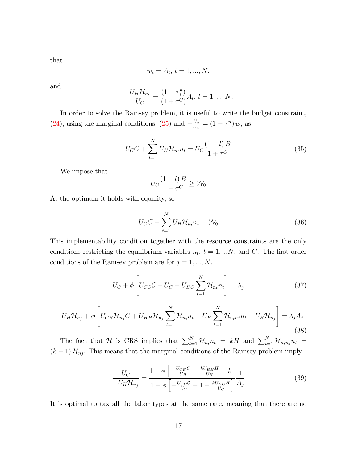that

$$
w_t = A_t, t = 1, ..., N.
$$

and

$$
-\frac{U_H \mathcal{H}_{n_t}}{U_C} = \frac{(1 - \tau_t^n)}{(1 + \tau^C)} A_t, t = 1, ..., N.
$$

In order to solve the Ramsey problem, it is useful to write the budget constraint, [\(24\)](#page-12-3), using the marginal conditions, [\(25\)](#page-13-0) and  $-\frac{U_n}{U_C}$  $\frac{U_n}{U_C} = (1 - \tau^n) w$ , as

$$
U_{C}C + \sum_{t=1}^{N} U_{H} \mathcal{H}_{n_{t}} n_{t} = U_{C} \frac{(1-l)B}{1+\tau^{C}}
$$
(35)

We impose that

$$
U_C \frac{(1-l)B}{1+\tau^C} \ge \mathcal{W}_0
$$

At the optimum it holds with equality, so

 $\overline{a}$ 

$$
U_C C + \sum_{t=1}^{N} U_H \mathcal{H}_{n_t} n_t = \mathcal{W}_0
$$
\n(36)

This implementability condition together with the resource constraints are the only conditions restricting the equilibrium variables  $n_t$ ,  $t = 1,...N$ , and C. The first order conditions of the Ramsey problem are for  $j = 1, ..., N$ ,

$$
U_C + \phi \left[ U_{CC} C + U_C + U_{HC} \sum_{t=1}^{N} \mathcal{H}_{n_t} n_t \right] = \lambda_j \tag{37}
$$

$$
-U_H\mathcal{H}_{n_j} + \phi \left[ U_{CH}\mathcal{H}_{n_j}C + U_{HH}\mathcal{H}_{n_j} \sum_{t=1}^N \mathcal{H}_{n_t}n_t + U_H \sum_{t=1}^N \mathcal{H}_{n_t n_j}n_t + U_H\mathcal{H}_{n_j} \right] = \lambda_j A_j
$$
\n(38)

The fact that H is CRS implies that  $\sum_{t=1}^{N} \mathcal{H}_{n_t} n_t = kH$  and  $\sum_{t=1}^{N} \mathcal{H}_{n_t} n_t =$  $(k-1)$   $\mathcal{H}_{nj}$ . This means that the marginal conditions of the Ramsey problem imply

$$
\frac{U_C}{-U_H \mathcal{H}_{n_j}} = \frac{1 + \phi \left[ -\frac{U_{CH}C}{U_H} - \frac{kU_{HH}H}{U_H} - k \right]}{1 - \phi \left[ -\frac{U_{CC}C}{U_C} - 1 - \frac{kU_{HC}H}{U_C} \right]} \frac{1}{A_j}
$$
(39)

It is optimal to tax all the labor types at the same rate, meaning that there are no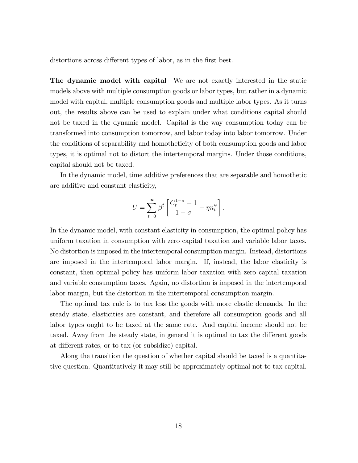distortions across different types of labor, as in the first best.

The dynamic model with capital We are not exactly interested in the static models above with multiple consumption goods or labor types, but rather in a dynamic model with capital, multiple consumption goods and multiple labor types. As it turns out, the results above can be used to explain under what conditions capital should not be taxed in the dynamic model. Capital is the way consumption today can be transformed into consumption tomorrow, and labor today into labor tomorrow. Under the conditions of separability and homotheticity of both consumption goods and labor types, it is optimal not to distort the intertemporal margins. Under those conditions, capital should not be taxed.

In the dynamic model, time additive preferences that are separable and homothetic are additive and constant elasticity,

$$
U=\sum_{t=0}^\infty \beta^t \left[ \frac{C_t^{1-\sigma}-1}{1-\sigma}-\eta n_t^\psi \right].
$$

In the dynamic model, with constant elasticity in consumption, the optimal policy has uniform taxation in consumption with zero capital taxation and variable labor taxes. No distortion is imposed in the intertemporal consumption margin. Instead, distortions are imposed in the intertemporal labor margin. If, instead, the labor elasticity is constant, then optimal policy has uniform labor taxation with zero capital taxation and variable consumption taxes. Again, no distortion is imposed in the intertemporal labor margin, but the distortion in the intertemporal consumption margin.

The optimal tax rule is to tax less the goods with more elastic demands. In the steady state, elasticities are constant, and therefore all consumption goods and all labor types ought to be taxed at the same rate. And capital income should not be taxed. Away from the steady state, in general it is optimal to tax the different goods at different rates, or to tax (or subsidize) capital.

Along the transition the question of whether capital should be taxed is a quantitative question. Quantitatively it may still be approximately optimal not to tax capital.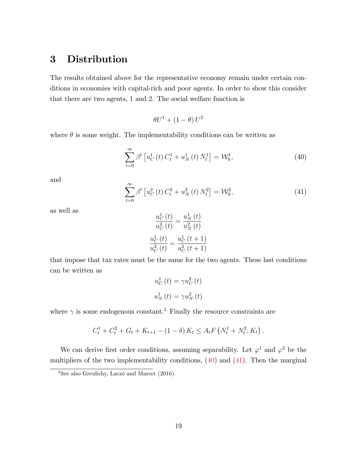# 3 Distribution

The results obtained above for the representative economy remain under certain conditions in economies with capital-rich and poor agents. In order to show this consider that there are two agents, 1 and 2. The social welfare function is

 $\theta U^1 + (1 - \theta) U^2$ 

where  $\theta$  is some weight. The implementability conditions can be written as

<span id="page-18-0"></span>
$$
\sum_{t=0}^{\infty} \beta^t \left[ u_C^1(t) C_t^1 + u_N^1(t) N_t^1 \right] = \mathcal{W}_0^1,
$$
\n(40)

and

<span id="page-18-1"></span>
$$
\sum_{t=0}^{\infty} \beta^t \left[ u_C^2(t) C_t^2 + u_N^2(t) N_t^2 \right] = \mathcal{W}_0^2,
$$
\n(41)

as well as

$$
\frac{u_C^1(t)}{u_C^2(t)} = \frac{u_N^1(t)}{u_N^2(t)}
$$

$$
\frac{u_C^1(t)}{u_C^2(t)} = \frac{u_C^1(t+1)}{u_C^2(t+1)}
$$

that impose that tax rates must be the same for the two agents. These last conditions can be written as

$$
u_C^1(t) = \gamma u_C^2(t)
$$
  

$$
u_N^1(t) = \gamma u_N^2(t)
$$

where  $\gamma$  is some endogenous constant.<sup>3</sup> Finally the resource constraints are

$$
C_t^1 + C_t^2 + G_t + K_{t+1} - (1 - \delta) K_t \le A_t F\left(N_t^1 + N_t^2, K_t\right).
$$

We can derive first order conditions, assuming separability. Let  $\varphi^1$  and  $\varphi^2$  be the multipliers of the two implementability conditions, [\(40\)](#page-18-0) and [\(41\)](#page-18-1). Then the marginal

 $3$ See also Greulichy, Laczó and Marcet (2016).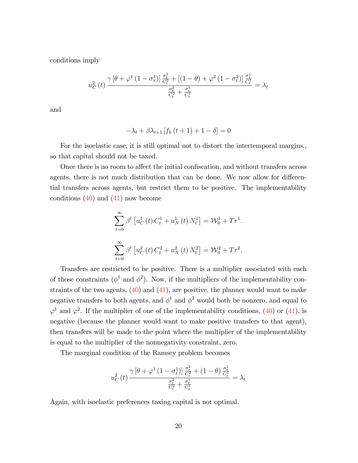conditions imply

$$
u_C^2(t) \frac{\gamma \left[\theta + \varphi^1 \left(1 - \sigma_t^1\right)\right] \frac{\sigma_t^2}{C_t^2} + \left[\left(1 - \theta\right) + \varphi^2 \left(1 - \sigma_t^2\right)\right] \frac{\sigma_t^1}{C_t^1}}{\frac{\sigma_t^2}{C_t^1} + \frac{\sigma_t^1}{C_t^1}} = \lambda_t
$$

and

$$
-\lambda_t + \beta \lambda_{t+1} \left[ f_k \left( t+1 \right) + 1 - \delta \right] = 0
$$

For the isoelastic case, it is still optimal not to distort the intertemporal margins., so that capital should not be taxed.

Once there is no room to affect the initial confiscation, and without transfers across agents, there is not much distribution that can be done. We now allow for differential transfers across agents, but restrict them to be positive. The implementability conditions  $(40)$  and  $(41)$  now become

$$
\sum_{t=0}^{\infty} \beta^t \left[ u_C^1(t) C_t^1 + u_N^1(t) N_t^1 \right] = \mathcal{W}_0^1 + Tr^1.
$$
  

$$
\sum_{t=0}^{\infty} \beta^t \left[ u_C^2(t) C_t^2 + u_N^2(t) N_t^2 \right] = \mathcal{W}_0^2 + Tr^2.
$$

Transfers are restricted to be positive. There is a multiplier associated with each of those constraints ( $\phi^1$  and  $\phi^2$ ). Now, if the multipliers of the implementability constraints of the two agents,  $(40)$  and  $(41)$ , are positive, the planner would want to make negative transfers to both agents, and  $\phi^1$  and  $\phi^2$  would both be nonzero, and equal to  $\varphi$ <sup>1</sup> and  $\varphi$ <sup>2</sup>. If the multiplier of one of the implementability conditions, [\(40\)](#page-18-0) or [\(41\)](#page-18-1), is negative (because the planner would want to make positive transfers to that agent), then transfers will be made to the point where the multiplier of the implementability is equal to the multiplier of the nonnegativity constraint, zero.

The marginal condition of the Ramsey problem becomes

$$
u_C^2(t) \frac{\gamma \left[\theta + \varphi^1 \left(1 - \sigma_t^1\right)\right] \frac{\sigma_t^2}{C_t^2} + \left(1 - \theta\right) \frac{\sigma_t^1}{C_t^1}}{\frac{\sigma_t^2}{C_t^1} + \frac{\sigma_t^1}{C_t^1}} = \lambda_t
$$

Again, with isoelastic preferences taxing capital is not optimal.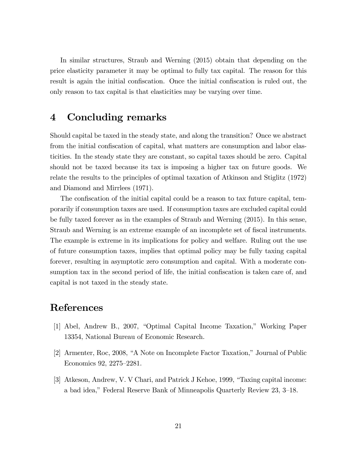In similar structures, Straub and Werning (2015) obtain that depending on the price elasticity parameter it may be optimal to fully tax capital. The reason for this result is again the initial confiscation. Once the initial confiscation is ruled out, the only reason to tax capital is that elasticities may be varying over time.

# 4 Concluding remarks

Should capital be taxed in the steady state, and along the transition? Once we abstract from the initial confiscation of capital, what matters are consumption and labor elasticities. In the steady state they are constant, so capital taxes should be zero. Capital should not be taxed because its tax is imposing a higher tax on future goods. We relate the results to the principles of optimal taxation of Atkinson and Stiglitz (1972) and Diamond and Mirrlees (1971).

The confiscation of the initial capital could be a reason to tax future capital, temporarily if consumption taxes are used. If consumption taxes are excluded capital could be fully taxed forever as in the examples of Straub and Werning (2015). In this sense, Straub and Werning is an extreme example of an incomplete set of fiscal instruments. The example is extreme in its implications for policy and welfare. Ruling out the use of future consumption taxes, implies that optimal policy may be fully taxing capital forever, resulting in asymptotic zero consumption and capital. With a moderate consumption tax in the second period of life, the initial confiscation is taken care of, and capital is not taxed in the steady state.

## References

- [1] Abel, Andrew B., 2007, "Optimal Capital Income Taxation," Working Paper 13354, National Bureau of Economic Research.
- $[2]$  Armenter, Roc, 2008, "A Note on Incomplete Factor Taxation," Journal of Public Economics 92, 2275-2281.
- [3] Atkeson, Andrew, V. V Chari, and Patrick J Kehoe, 1999, "Taxing capital income: a bad idea," Federal Reserve Bank of Minneapolis Quarterly Review 23, 3–18.